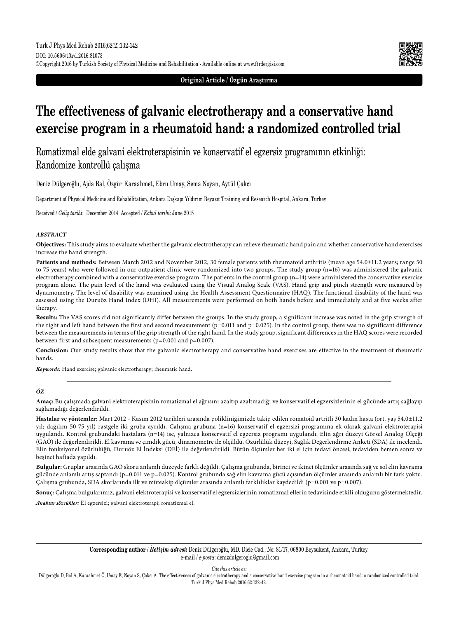

**Original Article / Özgün Araştırma**

# **The effectiveness of galvanic electrotherapy and a conservative hand exercise program in a rheumatoid hand: a randomized controlled trial**

Romatizmal elde galvani elektroterapisinin ve konservatif el egzersiz programının etkinliği: Randomize kontrollü çalışma

Deniz Dülgeroğlu, Ajda Bal, Özgür Karaahmet, Ebru Umay, Sema Noyan, Aytül Çakcı

Department of Physical Medicine and Rehabilitation, Ankara Dışkapı Yıldırım Beyazıt Training and Research Hospital, Ankara, Turkey

Received / *Geliş tarihi*: December 2014 Accepted / *Kabul tarihi*: June 2015

## *ABSTRACT*

**Objectives:** This study aims to evaluate whether the galvanic electrotherapy can relieve rheumatic hand pain and whether conservative hand exercises increase the hand strength.

**Patients and methods:** Between March 2012 and November 2012, 30 female patients with rheumatoid arthritis (mean age 54.0±11.2 years; range 50 to 75 years) who were followed in our outpatient clinic were randomized into two groups. The study group (n=16) was administered the galvanic electrotherapy combined with a conservative exercise program. The patients in the control group (n=14) were administered the conservative exercise program alone. The pain level of the hand was evaluated using the Visual Analog Scale (VAS). Hand grip and pinch strength were measured by dynamometry. The level of disability was examined using the Health Assessment Questionnaire (HAQ). The functional disability of the hand was assessed using the Duruöz Hand Index (DHI). All measurements were performed on both hands before and immediately and at five weeks after therapy.

**Results:** The VAS scores did not significantly differ between the groups. In the study group, a significant increase was noted in the grip strength of the right and left hand between the first and second measurement ( $p=0.011$  and  $p=0.025$ ). In the control group, there was no significant difference between the measurements in terms of the grip strength of the right hand. In the study group, significant differences in the HAQ scores were recorded between first and subsequent measurements (p=0.001 and p=0.007).

**Conclusion:** Our study results show that the galvanic electrotherapy and conservative hand exercises are effective in the treatment of rheumatic hands.

*Keywords:* Hand exercise; galvanic electrotherapy; rheumatic hand.

#### *ÖZ*

**Amaç:** Bu çalışmada galvani elektroterapisinin romatizmal el ağrısını azaltıp azaltmadığı ve konservatif el egzersizlerinin el gücünde artış sağlayıp sağlamadığı değerlendirildi.

**Hastalar ve yöntemler:** Mart 2012 - Kasım 2012 tarihleri arasında polikliniğimizde takip edilen romatoid artritli 30 kadın hasta (ort. yaş 54.0±11.2 yıl; dağılım 50-75 yıl) rastgele iki gruba ayrıldı. Çalışma grubuna (n=16) konservatif el egzersizi programına ek olarak galvani elektroterapisi uygulandı. Kontrol grubundaki hastalara (n=14) ise, yalnızca konservatif el egzersiz programı uygulandı. Elin ağrı düzeyi Görsel Analog Ölçeği (GAÖ) ile değerlendirildi. El kavrama ve çimdik gücü, dinamometre ile ölçüldü. Özürlülük düzeyi, Sağlık Değerlendirme Anketi (SDA) ile incelendi. Elin fonksiyonel özürlülüğü, Duruöz El İndeksi (DEİ) ile değerlendirildi. Bütün ölçümler her iki el için tedavi öncesi, tedaviden hemen sonra ve beşinci haftada yapıldı.

**Bulgular:** Gruplar arasında GAÖ skoru anlamlı düzeyde farklı değildi. Çalışma grubunda, birinci ve ikinci ölçümler arasında sağ ve sol elin kavrama gücünde anlamlı artış saptandı (p=0.011 ve p=0.025). Kontrol grubunda sağ elin kavrama gücü açısından ölçümler arasında anlamlı bir fark yoktu. Çalışma grubunda, SDA skorlarında ilk ve müteakip ölçümler arasında anlamlı farklılıklar kaydedildi (p=0.001 ve p=0.007).

**Sonuç:** Çalışma bulgularımız, galvani elektroterapisi ve konservatif el egzersizlerinin romatizmal ellerin tedavisinde etkili olduğunu göstermektedir.

*Anahtar sözcükler:* El egzersizi; galvani elektroterapi; romatizmal el.

**Corresponding author /** *İletişim adresi***:** Deniz Dülgeroğlu, MD. Dicle Cad., No: 81/17, 06800 Beysukent, Ankara, Turkey. e-mail / *e-posta*: denizdulgeroglu@gmail.com

*Cite this article as:*

Dülgeroğlu D, Bal A, Karaahmet Ö, Umay E, Noyan S, Çakcı A. The effectiveness of galvanic electrotherapy and a conservative hand exercise program in a rheumatoid hand: a randomized controlled trial. Turk J Phys Med Rehab 2016;62:132-42.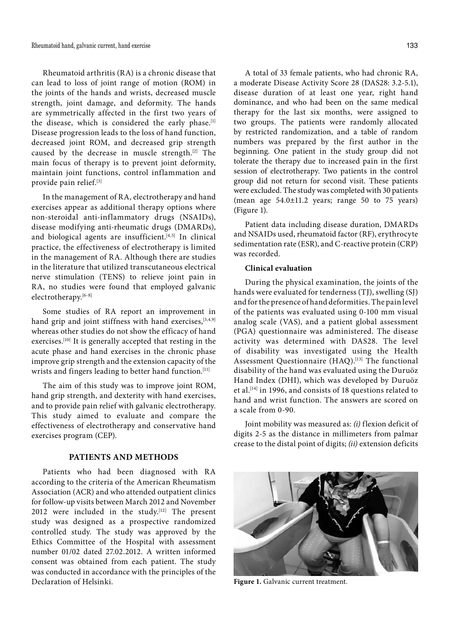Rheumatoid arthritis (RA) is a chronic disease that can lead to loss of joint range of motion (ROM) in the joints of the hands and wrists, decreased muscle strength, joint damage, and deformity. The hands are symmetrically affected in the first two years of the disease, which is considered the early phase.<sup>[1]</sup> Disease progression leads to the loss of hand function, decreased joint ROM, and decreased grip strength caused by the decrease in muscle strength.[2] The main focus of therapy is to prevent joint deformity, maintain joint functions, control inflammation and provide pain relief.[3]

In the management of RA, electrotherapy and hand exercises appear as additional therapy options where non-steroidal anti-inflammatory drugs (NSAIDs), disease modifying anti-rheumatic drugs (DMARDs), and biological agents are insufficient.<sup>[4,5]</sup> In clinical practice, the effectiveness of electrotherapy is limited in the management of RA. Although there are studies in the literature that utilized transcutaneous electrical nerve stimulation (TENS) to relieve joint pain in RA, no studies were found that employed galvanic electrotherapy.[6-8]

Some studies of RA report an improvement in hand grip and joint stiffness with hand exercises,<sup>[3,4,9]</sup> whereas other studies do not show the efficacy of hand exercises.[10] It is generally accepted that resting in the acute phase and hand exercises in the chronic phase improve grip strength and the extension capacity of the wrists and fingers leading to better hand function.<sup>[11]</sup>

The aim of this study was to improve joint ROM, hand grip strength, and dexterity with hand exercises, and to provide pain relief with galvanic electrotherapy. This study aimed to evaluate and compare the effectiveness of electrotherapy and conservative hand exercises program (CEP).

# **PATIENTS AND METHODS**

Patients who had been diagnosed with RA according to the criteria of the American Rheumatism Association (ACR) and who attended outpatient clinics for follow-up visits between March 2012 and November 2012 were included in the study.<sup>[12]</sup> The present study was designed as a prospective randomized controlled study. The study was approved by the Ethics Committee of the Hospital with assessment number 01/02 dated 27.02.2012. A written informed consent was obtained from each patient. The study was conducted in accordance with the principles of the Declaration of Helsinki.

A total of 33 female patients, who had chronic RA, a moderate Disease Activity Score 28 (DAS28: 3.2-5.1), disease duration of at least one year, right hand dominance, and who had been on the same medical therapy for the last six months, were assigned to two groups. The patients were randomly allocated by restricted randomization, and a table of random numbers was prepared by the first author in the beginning. One patient in the study group did not tolerate the therapy due to increased pain in the first session of electrotherapy. Two patients in the control group did not return for second visit. These patients were excluded. The study was completed with 30 patients (mean age  $54.0 \pm 11.2$  years; range  $50$  to  $75$  years) (Figure 1).

Patient data including disease duration, DMARDs and NSAIDs used, rheumatoid factor (RF), erythrocyte sedimentation rate (ESR), and C-reactive protein (CRP) was recorded.

# **Clinical evaluation**

During the physical examination, the joints of the hands were evaluated for tenderness (TJ), swelling (SJ) and for the presence of hand deformities. The pain level of the patients was evaluated using 0-100 mm visual analog scale (VAS), and a patient global assessment (PGA) questionnaire was administered. The disease activity was determined with DAS28. The level of disability was investigated using the Health Assessment Questionnaire (HAQ).<sup>[13]</sup> The functional disability of the hand was evaluated using the Duruöz Hand Index (DHI), which was developed by Duruöz et al.<sup>[14]</sup> in 1996, and consists of 18 questions related to hand and wrist function. The answers are scored on a scale from 0-90.

Joint mobility was measured as: *(i)* flexion deficit of digits 2-5 as the distance in millimeters from palmar crease to the distal point of digits; *(ii)* extension deficits



**Figure 1.** Galvanic current treatment.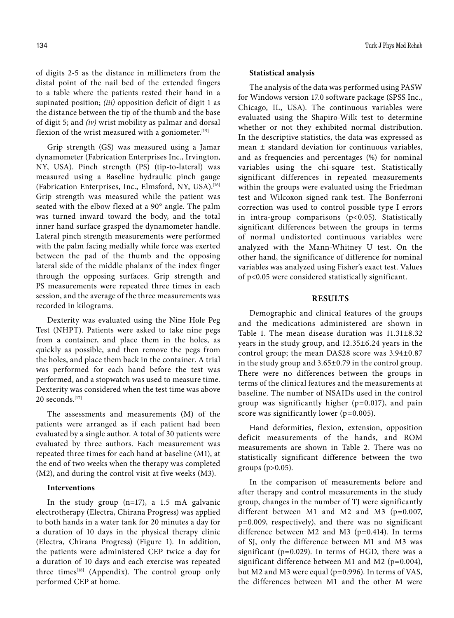of digits 2-5 as the distance in millimeters from the distal point of the nail bed of the extended fingers to a table where the patients rested their hand in a supinated position; *(iii)* opposition deficit of digit 1 as the distance between the tip of the thumb and the base of digit 5; and *(iv)* wrist mobility as palmar and dorsal flexion of the wrist measured with a goniometer.  $[15]$ 

Grip strength (GS) was measured using a Jamar dynamometer (Fabrication Enterprises Inc., Irvington, NY, USA). Pinch strength (PS) (tip-to-lateral) was measured using a Baseline hydraulic pinch gauge (Fabrication Enterprises, Inc., Elmsford, NY, USA).<sup>[16]</sup> Grip strength was measured while the patient was seated with the elbow flexed at a 90° angle. The palm was turned inward toward the body, and the total inner hand surface grasped the dynamometer handle. Lateral pinch strength measurements were performed with the palm facing medially while force was exerted between the pad of the thumb and the opposing lateral side of the middle phalanx of the index finger through the opposing surfaces. Grip strength and PS measurements were repeated three times in each session, and the average of the three measurements was recorded in kilograms.

Dexterity was evaluated using the Nine Hole Peg Test (NHPT). Patients were asked to take nine pegs from a container, and place them in the holes, as quickly as possible, and then remove the pegs from the holes, and place them back in the container. A trial was performed for each hand before the test was performed, and a stopwatch was used to measure time. Dexterity was considered when the test time was above 20 seconds.<sup>[17]</sup>

The assessments and measurements (M) of the patients were arranged as if each patient had been evaluated by a single author. A total of 30 patients were evaluated by three authors. Each measurement was repeated three times for each hand at baseline (M1), at the end of two weeks when the therapy was completed (M2), and during the control visit at five weeks (M3).

## **Interventions**

In the study group (n=17), a 1.5 mA galvanic electrotherapy (Electra, Chirana Progress) was applied to both hands in a water tank for 20 minutes a day for a duration of 10 days in the physical therapy clinic (Electra, Chirana Progress) (Figure 1). In addition, the patients were administered CEP twice a day for a duration of 10 days and each exercise was repeated three times<sup>[18]</sup> (Appendix). The control group only performed CEP at home.

## **Statistical analysis**

The analysis of the data was performed using PASW for Windows version 17.0 software package (SPSS Inc., Chicago, IL, USA). The continuous variables were evaluated using the Shapiro-Wilk test to determine whether or not they exhibited normal distribution. In the descriptive statistics, the data was expressed as mean  $\pm$  standard deviation for continuous variables, and as frequencies and percentages (%) for nominal variables using the chi-square test. Statistically significant differences in repeated measurements within the groups were evaluated using the Friedman test and Wilcoxon signed rank test. The Bonferroni correction was used to control possible type I errors in intra-group comparisons (p<0.05). Statistically significant differences between the groups in terms of normal undistorted continuous variables were analyzed with the Mann-Whitney U test. On the other hand, the significance of difference for nominal variables was analyzed using Fisher's exact test. Values of p<0.05 were considered statistically significant.

# **RESULTS**

Demographic and clinical features of the groups and the medications administered are shown in Table 1. The mean disease duration was 11.31±8.32 years in the study group, and 12.35±6.24 years in the control group; the mean DAS28 score was 3.94±0.87 in the study group and 3.65±0.79 in the control group. There were no differences between the groups in terms of the clinical features and the measurements at baseline. The number of NSAIDs used in the control group was significantly higher (p=0.017), and pain score was significantly lower (p=0.005).

Hand deformities, flexion, extension, opposition deficit measurements of the hands, and ROM measurements are shown in Table 2. There was no statistically significant difference between the two groups  $(p>0.05)$ .

In the comparison of measurements before and after therapy and control measurements in the study group, changes in the number of TJ were significantly different between M1 and M2 and M3 (p=0.007, p=0.009, respectively), and there was no significant difference between M2 and M3 (p=0.414). In terms of SJ, only the difference between M1 and M3 was significant (p=0.029). In terms of HGD, there was a significant difference between M1 and M2 (p=0.004), but M2 and M3 were equal (p=0.996). In terms of VAS, the differences between M1 and the other M were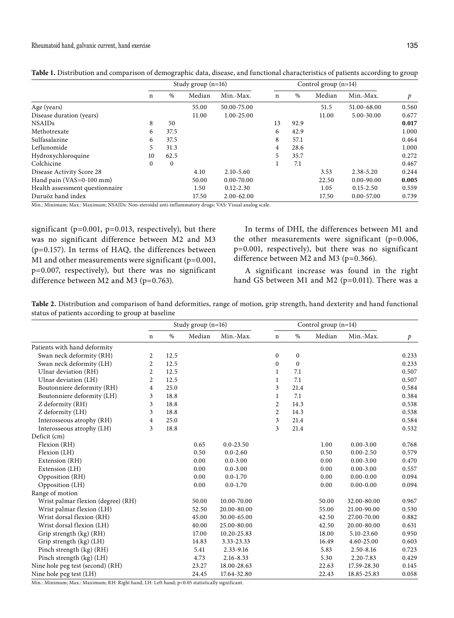|                                 |             |              | Study group $(n=16)$ |                |    |      | Control group $(n=14)$ |                |       |
|---------------------------------|-------------|--------------|----------------------|----------------|----|------|------------------------|----------------|-------|
|                                 | $\mathbf n$ | $\%$         | Median               | Min.-Max.      | n  | $\%$ | Median                 | Min.-Max.      | p     |
| Age (years)                     |             |              | 55.00                | 50.00-75.00    |    |      | 51.5                   | 51.00-68.00    | 0.560 |
| Disease duration (years)        |             |              | 11.00                | 1.00-25.00     |    |      | 11.00                  | 5.00-30.00     | 0.677 |
| NSAIDs                          | 8           | 50           |                      |                | 13 | 92.9 |                        |                | 0.017 |
| Methotrexate                    | 6           | 37.5         |                      |                | 6  | 42.9 |                        |                | 1.000 |
| Sulfasalazine                   | 6           | 37.5         |                      |                | 8  | 57.1 |                        |                | 0.464 |
| Leflunomide                     | 5           | 31.3         |                      |                | 4  | 28.6 |                        |                | 1.000 |
| Hydroxychloroquine              | 10          | 62.5         |                      |                | 5  | 35.7 |                        |                | 0.272 |
| Colchicine                      | $\theta$    | $\mathbf{0}$ |                      |                |    | 7.1  |                        |                | 0.467 |
| Disease Activity Score 28       |             |              | 4.10                 | $2.10 - 5.60$  |    |      | 3.53                   | 2.38-5.20      | 0.244 |
| Hand pain (VAS=0-100 mm)        |             |              | 50.00                | $0.00 - 70.00$ |    |      | 22.50                  | $0.00 - 90.00$ | 0.005 |
| Health assessment questionnaire |             |              | 1.50                 | $0.12 - 2.30$  |    |      | 1.05                   | $0.15 - 2.50$  | 0.559 |
| Duruöz hand index               |             |              | 17.50                | $2.00 - 62.00$ |    |      | 17.50                  | $0.00 - 57.00$ | 0.739 |

**Table 1.** Distribution and comparison of demographic data, disease, and functional characteristics of patients according to group

Min.: Minimum; Max.: Maximum; NSAIDs: Non-steroidal anti-inflammatory drugs; VAS: Visual analog scale.

significant ( $p=0.001$ ,  $p=0.013$ , respectively), but there was no significant difference between M2 and M3 (p=0.157). In terms of HAQ, the differences between M1 and other measurements were significant (p=0.001, p=0.007, respectively), but there was no significant difference between M2 and M3 (p=0.763).

In terms of DHI, the differences between M1 and the other measurements were significant (p=0.006, p=0.001, respectively), but there was no significant difference between M2 and M3 (p=0.366).

A significant increase was found in the right hand GS between M1 and M2 (p=0.011). There was a

**Table 2.** Distribution and comparison of hand deformities, range of motion, grip strength, hand dexterity and hand functional status of patients according to group at baseline

|                                    |                |      | Study group $(n=16)$ |               |                |                  | Control group $(n=14)$ |               |               |
|------------------------------------|----------------|------|----------------------|---------------|----------------|------------------|------------------------|---------------|---------------|
|                                    | $\mathbf n$    | $\%$ | Median               | Min.-Max.     | $\mathbf n$    | $\%$             | Median                 | Min.-Max.     | $\mathcal{P}$ |
| Patients with hand deformity       |                |      |                      |               |                |                  |                        |               |               |
| Swan neck deformity (RH)           | 2              | 12.5 |                      |               | 0              | $\boldsymbol{0}$ |                        |               | 0.233         |
| Swan neck deformity (LH)           | $\overline{c}$ | 12.5 |                      |               | $\mathbf{0}$   | $\mathbf{0}$     |                        |               | 0.233         |
| Ulnar deviation (RH)               | 2              | 12.5 |                      |               | 1              | 7.1              |                        |               | 0.507         |
| Ulnar deviation (LH)               | 2              | 12.5 |                      |               | 1              | 7.1              |                        |               | 0.507         |
| Boutonniere deformity (RH)         | 4              | 25.0 |                      |               | 3              | 21.4             |                        |               | 0.584         |
| Boutonniere deformity (LH)         | 3              | 18.8 |                      |               | 1              | 7.1              |                        |               | 0.384         |
| Z deformity (RH)                   | 3              | 18.8 |                      |               | $\overline{c}$ | 14.3             |                        |               | 0.538         |
| Z deformity (LH)                   | 3              | 18.8 |                      |               | $\overline{c}$ | 14.3             |                        |               | 0.538         |
| Interosseous atrophy (RH)          | 4              | 25.0 |                      |               | $\mathfrak{Z}$ | 21.4             |                        |               | 0.584         |
| Interosseous atrophy (LH)          | 3              | 18.8 |                      |               | $\overline{3}$ | 21.4             |                        |               | 0.532         |
| Deficit (cm)                       |                |      |                      |               |                |                  |                        |               |               |
| Flexion (RH)                       |                |      | 0.65                 | $0.0 - 23.50$ |                |                  | 1.00                   | $0.00 - 3.00$ | 0.768         |
| Flexion (LH)                       |                |      | 0.50                 | $0.0 - 2.60$  |                |                  | 0.50                   | $0.00 - 2.50$ | 0.579         |
| Extension (RH)                     |                |      | 0.00                 | $0.0 - 3.00$  |                |                  | 0.00                   | $0.00 - 3.00$ | 0.470         |
| Extension (LH)                     |                |      | 0.00                 | $0.0 - 3.00$  |                |                  | 0.00                   | $0.00 - 3.00$ | 0.557         |
| Opposition (RH)                    |                |      | 0.00                 | $0.0 - 1.70$  |                |                  | 0.00                   | $0.00 - 0.00$ | 0.094         |
| Opposition (LH)                    |                |      | 0.00                 | $0.0 - 1.70$  |                |                  | 0.00                   | $0.00 - 0.00$ | 0.094         |
| Range of motion                    |                |      |                      |               |                |                  |                        |               |               |
| Wrist palmar flexion (degree) (RH) |                |      | 50.00                | 10.00-70.00   |                |                  | 50.00                  | 32.00-80.00   | 0.967         |
| Wrist palmar flexion (LH)          |                |      | 52.50                | 20.00-80.00   |                |                  | 55.00                  | 21.00-90.00   | 0.530         |
| Wrist dorsal flexion (RH)          |                |      | 45.00                | 30.00-65.00   |                |                  | 42.50                  | 27.00-70.00   | 0.882         |
| Wrist dorsal flexion (LH)          |                |      | 40.00                | 25.00-80.00   |                |                  | 42.50                  | 20.00-80.00   | 0.631         |
| Grip strength (kg) (RH)            |                |      | 17.00                | 10.20-25.83   |                |                  | 18.00                  | 5.10-23.60    | 0.950         |
| Grip strength (kg) (LH)            |                |      | 14.83                | 3.33-23.33    |                |                  | 16.49                  | 4.60-25.00    | 0.603         |
| Pinch strength (kg) (RH)           |                |      | 5.41                 | 2.33-9.16     |                |                  | 5.83                   | 2.50-8.16     | 0.723         |
| Pinch strength (kg) (LH)           |                |      | 4.73                 | 2.16-8.33     |                |                  | 5.30                   | 2.20-7.83     | 0.429         |
| Nine hole peg test (second) (RH)   |                |      | 23.27                | 18.00-28.63   |                |                  | 22.63                  | 17.59-28.30   | 0.145         |
| Nine hole peg test (LH)            |                |      | 24.45                | 17.64-32.80   |                |                  | 22.43                  | 18.85-25.83   | 0.058         |

Min.: Minimum; Max.: Maximum; RH: Right hand; LH: Left hand; p<0.05 statistically significant.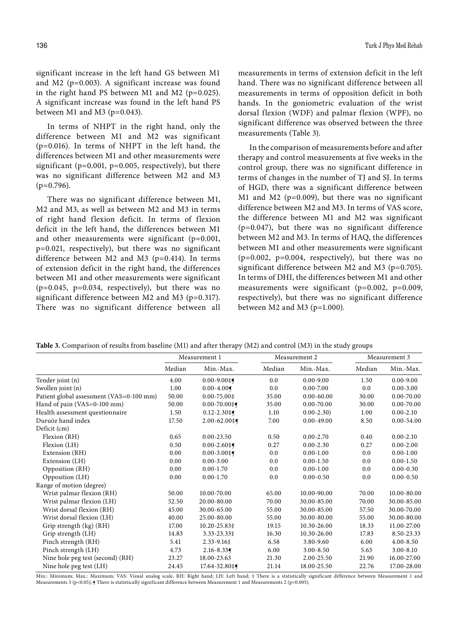significant increase in the left hand GS between M1 and M2 (p=0.003). A significant increase was found in the right hand PS between M1 and M2 ( $p=0.025$ ). A significant increase was found in the left hand PS between M1 and M3 (p=0.043).

In terms of NHPT in the right hand, only the difference between M1 and M2 was significant (p=0.016). In terms of NHPT in the left hand, the differences between M1 and other measurements were significant ( $p=0.001$ ,  $p=0.005$ , respectively), but there was no significant difference between M2 and M3  $(p=0.796)$ .

There was no significant difference between M1, M2 and M3, as well as between M2 and M3 in terms of right hand flexion deficit. In terms of flexion deficit in the left hand, the differences between M1 and other measurements were significant (p=0.001, p=0.021, respectively), but there was no significant difference between M2 and M3 (p=0.414). In terms of extension deficit in the right hand, the differences between M1 and other measurements were significant (p=0.045, p=0.034, respectively), but there was no significant difference between M2 and M3 (p=0.317). There was no significant difference between all measurements in terms of extension deficit in the left hand. There was no significant difference between all measurements in terms of opposition deficit in both hands. In the goniometric evaluation of the wrist dorsal flexion (WDF) and palmar flexion (WPF), no significant difference was observed between the three measurements (Table 3).

In the comparison of measurements before and after therapy and control measurements at five weeks in the control group, there was no significant difference in terms of changes in the number of TJ and SJ. In terms of HGD, there was a significant difference between M1 and M2 (p=0.009), but there was no significant difference between M2 and M3. In terms of VAS score, the difference between M1 and M2 was significant (p=0.047), but there was no significant difference between M2 and M3. In terms of HAQ, the differences between M1 and other measurements were significant  $(p=0.002, p=0.004, respectively)$ , but there was no significant difference between M2 and M3 (p=0.705). In terms of DHI, the differences between M1 and other measurements were significant  $(p=0.002, p=0.009,$ respectively), but there was no significant difference between M2 and M3 (p=1.000).

**Table 3.** Comparison of results from baseline (M1) and after therapy (M2) and control (M3) in the study groups

|                                          |        | Measurement 1          |        | Measurement 2  |        | Measurement 3  |
|------------------------------------------|--------|------------------------|--------|----------------|--------|----------------|
|                                          | Median | Min.-Max.              | Median | Min.-Max.      | Median | Min.-Max.      |
| Tender joint (n)                         | 4.00   | $0.00 - 9.00 +$        | 0.0    | $0.00 - 9.00$  | 1.50   | $0.00 - 9.00$  |
| Swollen joint (n)                        | 1.00   | $0.00 - 4.00$          | 0.0    | $0.00 - 7.00$  | 0.0    | $0.00 - 3.00$  |
| Patient global assessment (VAS=0-100 mm) | 50.00  | $0.00 - 75.00$ ‡       | 35.00  | $0.00 - 60.00$ | 30.00  | $0.00 - 70.00$ |
| Hand of pain (VAS=0-100 mm)              | 50.00  | $0.00 - 70.00$ ‡¶      | 35.00  | $0.00 - 70.00$ | 30.00  | $0.00 - 70.00$ |
| Health assessment questionnaire          | 1.50   | $0.12 - 2.30 +$        | 1.10   | $0.00 - 2.30$  | 1.00   | $0.00 - 2.10$  |
| Duruöz hand index                        | 17.50  | $2.00 - 62.00 +$       | 7.00   | $0.00 - 49.00$ | 8.50   | $0.00 - 54.00$ |
| Deficit (cm)                             |        |                        |        |                |        |                |
| Flexion (RH)                             | 0.65   | $0.00 - 23.50$         | 0.50   | $0.00 - 2.70$  | 0.40   | $0.00 - 2.10$  |
| Flexion (LH)                             | 0.50   | $0.00 - 2.60 +$        | 0.27   | $0.00 - 2.30$  | 0.27   | $0.00 - 2.00$  |
| Extension (RH)                           | 0.00   | $0.00 - 3.00 +$        | 0.0    | $0.00 - 1.00$  | 0.0    | $0.00 - 1.00$  |
| Extension (LH)                           | 0.00   | $0.00 - 3.00$          | 0.0    | $0.00 - 1.50$  | 0.0    | $0.00 - 1.50$  |
| Opposition (RH)                          | 0.00   | $0.00 - 1.70$          | 0.0    | $0.00 - 1.00$  | 0.0    | $0.00 - 0.30$  |
| Opposition (LH)                          | 0.00   | $0.00 - 1.70$          | 0.0    | $0.00 - 0.50$  | 0.0    | $0.00 - 0.50$  |
| Range of motion (degree)                 |        |                        |        |                |        |                |
| Wrist palmar flexion (RH)                | 50.00  | 10.00-70.00            | 65.00  | 10.00-90.00    | 70.00  | 10.00-80.00    |
| Wrist palmar flexion (LH)                | 52.50  | 20.00-80.00            | 70.00  | 30.00-85.00    | 70.00  | 30.00-85.00    |
| Wrist dorsal flexion (RH)                | 45.00  | 30.00-65.00            | 55.00  | 30.00-85.00    | 57.50  | 30.00-70.00    |
| Wrist dorsal flexion (LH)                | 40.00  | 25.00-80.00            | 55.00  | 30.00-80.00    | 55.00  | 30.00-80.00    |
| Grip strength (kg) (RH)                  | 17.00  | 10.20-25.83‡           | 19.15  | 10.30-26.00    | 18.33  | 11.00-27.00    |
| Grip strength (LH)                       | 14.83  | 3.33-23.33‡            | 16.30  | 10.30-26.00    | 17.83  | 8.50-23.33     |
| Pinch strength (RH)                      | 5.41   | $2.33 - 9.16 \ddagger$ | 6.58   | 3.80-9.60      | 6.00   | $4.00 - 8.50$  |
| Pinch strength (LH)                      | 4.73   | $2.16 - 8.33$          | 6.00   | 3.00-8.50      | 5.63   | $3.00 - 8.10$  |
| Nine hole peg test (second) (RH)         | 23.27  | 18.00-23.63            | 21.30  | 2.00-25.50     | 21.90  | 16.00-27.00    |
| Nine hole peg test (LH)                  | 24.45  | 17.64-32.80‡¶          | 21.14  | 18.00-25.50    | 22.76  | 17.00-28.00    |

Min.: Minimum; Max.: Maximum; VAS: Visual analog scale, RH: Right hand; LH: Left hand; ‡ There is a statistically significant difference between Measurement 1 and Measurements 3 (p<0.05);  $\int$  There is statistically significant difference between Measurement 1 and Measurements 2 (p<0.005).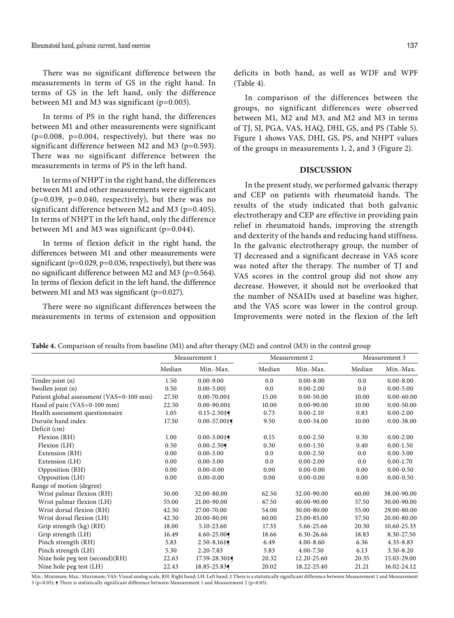Rheumatoid hand, galvanic current, hand exercise 137

There was no significant difference between the measurements in term of GS in the right hand. In terms of GS in the left hand, only the difference between M1 and M3 was significant (p=0.003).

In terms of PS in the right hand, the differences between M1 and other measurements were significant  $(p=0.008, p=0.004, respectively)$ , but there was no significant difference between M2 and M3 (p=0.593). There was no significant difference between the measurements in terms of PS in the left hand.

In terms of NHPT in the right hand, the differences between M1 and other measurements were significant  $(p=0.039, p=0.040, respectively)$ , but there was no significant difference between M2 and M3 (p=0.405). In terms of NHPT in the left hand, only the difference between M1 and M3 was significant (p=0.044).

In terms of flexion deficit in the right hand, the differences between M1 and other measurements were significant ( $p=0.029$ ,  $p=0.036$ , respectively), but there was no significant difference between M2 and M3 (p=0.564). In terms of flexion deficit in the left hand, the difference between M1 and M3 was significant (p=0.027).

There were no significant differences between the measurements in terms of extension and opposition deficits in both hand, as well as WDF and WPF (Table 4).

In comparison of the differences between the groups, no significant differences were observed between M1, M2 and M3, and M2 and M3 in terms of TJ, SJ, PGA, VAS, HAQ, DHI, GS, and PS (Table 5). Figure 1 shows VAS, DHI, GS, PS, and NHPT values of the groups in measurements 1, 2, and 3 (Figure 2).

## **DISCUSSION**

In the present study, we performed galvanic therapy and CEP on patients with rheumatoid hands. The results of the study indicated that both galvanic electrotherapy and CEP are effective in providing pain relief in rheumatoid hands, improving the strength and dexterity of the hands and reducing hand stiffness. In the galvanic electrotherapy group, the number of TJ decreased and a significant decrease in VAS score was noted after the therapy. The number of TJ and VAS scores in the control group did not show any decrease. However, it should not be overlooked that the number of NSAIDs used at baseline was higher, and the VAS score was lower in the control group. Improvements were noted in the flexion of the left

**Table 4.** Comparison of results from baseline (M1) and after therapy (M2) and control (M3) in the control group

|                                          |        | Measurement 1        |        | Measurement 2  |        | Measurement 3  |
|------------------------------------------|--------|----------------------|--------|----------------|--------|----------------|
|                                          | Median | Min.-Max.            | Median | Min.-Max.      | Median | Min.-Max.      |
| Tender joint (n)                         | 1.50   | $0.00 - 9.00$        | 0.0    | $0.00 - 8.00$  | 0.0    | $0.00 - 8.00$  |
| Swollen joint (n)                        | 0.50   | $0.00 - 5.00$        | 0.0    | $0.00 - 2.00$  | 0.0    | $0.00 - 5.00$  |
| Patient global assessment (VAS=0-100 mm) | 27.50  | $0.00 - 70.00$ ‡     | 15.00  | $0.00 - 50.00$ | 10.00  | $0.00 - 60.00$ |
| Hand of pain (VAS=0-100 mm)              | 22.50  | $0.00 - 90.001$      | 10.00  | $0.00 - 90.00$ | 10.00  | $0.00 - 50.00$ |
| Health assessment questionnaire          | 1.05   | $0.15 - 2.50 +$      | 0.73   | $0.00 - 2.10$  | 0.83   | $0.00 - 2.00$  |
| Duruöz hand index                        | 17.50  | $0.00 - 57.00 +$     | 9.50   | $0.00 - 34.00$ | 10.00  | $0.00 - 38.00$ |
| Deficit (cm)                             |        |                      |        |                |        |                |
| Flexion (RH)                             | 1.00   | $0.00 - 3.00 +$      | 0.15   | $0.00 - 2.50$  | 0.30   | $0.00 - 2.00$  |
| Flexion (LH)                             | 0.50   | $0.00 - 2.50$        | 0.30   | $0.00 - 1.50$  | 0.40   | $0.00 - 1.50$  |
| Extension (RH)                           | 0.00   | $0.00 - 3.00$        | 0.0    | $0.00 - 2.50$  | 0.0    | $0.00 - 3.00$  |
| Extension (LH)                           | 0.00   | $0.00 - 3.00$        | 0.0    | $0.00 - 2.00$  | 0.0    | $0.00 - 1.70$  |
| Opposition (RH)                          | 0.00   | $0.00 - 0.00$        | 0.00   | $0.00 - 0.00$  | 0.00   | $0.00 - 0.50$  |
| Opposition (LH)                          | 0.00   | $0.00 - 0.00$        | 0.00   | $0.00 - 0.00$  | 0.00   | $0.00 - 0.50$  |
| Range of motion (degree)                 |        |                      |        |                |        |                |
| Wrist palmar flexion (RH)                | 50.00  | 32.00-80.00          | 62.50  | 32.00-90.00    | 60.00  | 38.00-90.00    |
| Wrist palmar flexion (LH)                | 55.00  | 21.00-90.00          | 67.50  | 40.00-90.00    | 57.50  | 30.00-90.00    |
| Wrist dorsal flexion (RH)                | 42.50  | 27.00-70.00          | 54.00  | 30.00-80.00    | 55.00  | 29.00-80.00    |
| Wrist dorsal flexion (LH)                | 42.50  | 20.00-80.00          | 60.00  | 23.00-85.00    | 57.50  | 20.00-80.00    |
| Grip strength (kg) (RH)                  | 18.00  | 5.10-23.60           | 17.33  | 5.66-25.66     | 20.30  | 10.60-25.33    |
| Grip strength (LH)                       | 16.49  | $4.60 - 25.00$       | 18.66  | 6.30-26.66     | 18.83  | 8.30-27.50     |
| Pinch strength (RH)                      | 5.83   | $2.50 - 8.16 \neq 1$ | 6.49   | $4.00 - 8.60$  | 6.36   | 4.33-8.83      |
| Pinch strength (LH)                      | 5.30   | 2.20-7.83            | 5.83   | 4.00-7.50      | 6.13   | $3.50 - 8.20$  |
| Nine hole peg test (second)(RH)          | 22.63  | 17.59-28.30‡¶        | 20.32  | 12.20-25.60    | 20.35  | 15.03-29.00    |
| Nine hole peg test (LH)                  | 22.43  | 18.85-25.83¶         | 20.02  | 18.22-25.40    | 21.21  | 16.02-24.12    |

Min.: Minimum; Max.: Maximum; VAS: Visual analog scale, RH: Right hand; LH: Left hand; ‡ There is a statistically significant difference between Measurement 1 and Measurement 3 (p<0.05); ¶ There is statistically significant difference between Measurement 1 and Measurement 2 (p<0.05).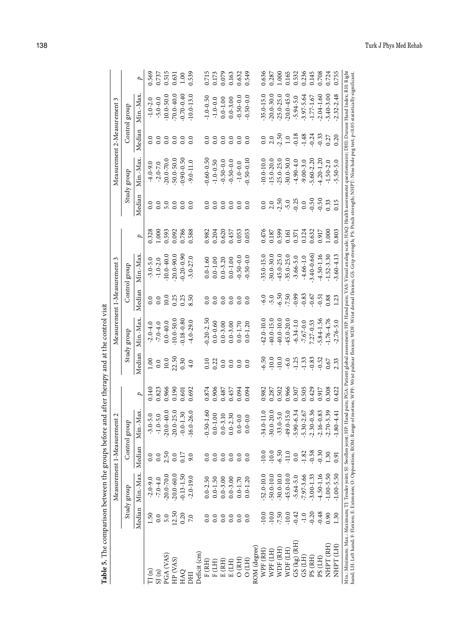| Table 5. The comparison between the groups before                                                                                                                                                                                                                                                        |          |                             |          |                    |       |         | and after therapy and at the control visit |                  |                                                                                                                                                             |       |                  |                           |                            |                |       |
|----------------------------------------------------------------------------------------------------------------------------------------------------------------------------------------------------------------------------------------------------------------------------------------------------------|----------|-----------------------------|----------|--------------------|-------|---------|--------------------------------------------|------------------|-------------------------------------------------------------------------------------------------------------------------------------------------------------|-------|------------------|---------------------------|----------------------------|----------------|-------|
|                                                                                                                                                                                                                                                                                                          |          | Measurement 1-Measurement 2 |          |                    |       |         | Measurement 1-Measurement 3                |                  |                                                                                                                                                             |       |                  | Measurement 2-Measurement |                            | ξ              |       |
|                                                                                                                                                                                                                                                                                                          |          | Study group                 |          | Control group      |       |         | Study group                                |                  | Control group                                                                                                                                               |       |                  | Study group               |                            | Control group  |       |
|                                                                                                                                                                                                                                                                                                          | Median   | Min.-Max.                   | Median   | -Max.<br>Min.      | p     | Median  | Min.-Max.                                  | Median           | Min.-Max                                                                                                                                                    | p     | Median           | Min.-Max                  | Median                     | Min.-Max.      | p     |
| TJ(n)                                                                                                                                                                                                                                                                                                    | 1.50     | $-2.0 - 9.0$                | 0.0      | $-3.0 - 5.0$       | 0.140 | 1.00    | $-2.0 - 4.0$                               | 0.0              | $-3.0 - 5.0$                                                                                                                                                | 0.328 | 0.0              | $-4.0 - 9.0$              | 0.0                        | $-1.0 - 2.0$   | 0.569 |
| SJ(n)                                                                                                                                                                                                                                                                                                    | 0.0      | $-7.0 - 4.0$                | 0.0      | $-1.0 - 5.0$       |       | 0.0     | $-7.0 - 4.0$                               | 0.0              | $-1.0 - 2.0$                                                                                                                                                | 1.000 | 0.0              | $-2.0 - 7.0$              | 0.0                        | $-5.0 - 0.0$   | 0.737 |
| PGA (VAS)                                                                                                                                                                                                                                                                                                | 5.0      | $20.0 - 70.0$               | 2.50     | $-20.0 - 40.0$     | 0.823 | $10.0$  | $0.0 - 40.0$                               | 10.0             | $-10.0 - 40.0$                                                                                                                                              | 0.593 | 5.0              | 20.0-70.0                 | $\overline{0.0}$           | $-10.0 - 50.0$ | 0.515 |
| HP (VAS)                                                                                                                                                                                                                                                                                                 | 12.50    | $20.0 - 60.0$               | 0.0      | $-25.0$<br>$-20.0$ | 0.190 | 22.50   | $10.0 - 50.0$                              | $0.25$<br>$0.25$ | $-20.0 - 90.0$                                                                                                                                              | 0.092 | 0.0              | $-50.0 - 50.0$            | 0.0                        | $-70.0 - 40.0$ | 0.631 |
| HAQ                                                                                                                                                                                                                                                                                                      | 0.20     | $-0.13 - 1.50$              | 0.17     | $-0.0 - 1.30$      | 0.601 | 0.30    | $0.18 - 0.80$                              |                  | $0.20 - 0.90$                                                                                                                                               | 0.786 | $_{0.0}$         | $0.90 - 0.50$             | 0.0                        | $-0.70 - 0.40$ | 1.00  |
| DНI                                                                                                                                                                                                                                                                                                      | 7.0      | $-2.0 - 19.0$               | 9.0      | $-16.0 - 26.0$     | 0.692 | 4.0     | $-4.0 - 29.0$                              | 8.50             | $-3.0 - 27.0$                                                                                                                                               | 0.588 | 0.0              | $-9.0 - 11.0$             | 0.0                        | $-10.0 - 13.0$ | 0.539 |
| Deficit (cm)                                                                                                                                                                                                                                                                                             |          |                             |          |                    |       |         |                                            |                  |                                                                                                                                                             |       |                  |                           |                            |                |       |
| F (RH)                                                                                                                                                                                                                                                                                                   |          | $0.0 - 2.50$                | $_{0.0}$ | $-0.50 - 1.60$     | 0.874 | 0.10    | $0.20 - 2.50$                              |                  | $0.0 - 1.60$                                                                                                                                                | 0.982 | $\overline{0.0}$ | $0.60 - 0.50$             | $\rm ^{0.0}$               | $-1.0 - 0.50$  | 0.715 |
| F(LH)                                                                                                                                                                                                                                                                                                    |          | $0.0 - 1.50$                | 0.0      | $0.0 - 1.00$       | 0.906 | 0.22    | $0.0 - 0.60$                               | 0.0              | $0.0 - 1.00$                                                                                                                                                | 0.204 | 0.0              | $-1.0 - 0.50$             | 0.0                        | $-1.0 - 0.0$   | 0.173 |
| E (RH)                                                                                                                                                                                                                                                                                                   | 0.0      | $0.0 - 3.00$                | 0.0      | $0.0 - 3.10$       | 0.487 | 0.0     | $0.0 - 3.00$                               | 0.0              | $0.0 - 3.20$                                                                                                                                                | 0.620 | 0.0              | $-0.50 - 0.0$             | 0.0                        | $0.0 - 1.00$   | 0.079 |
| E (LH)                                                                                                                                                                                                                                                                                                   | $_{0.0}$ | $0.0 - 3.00$                | 0.0      | $0.0 - 2.30$       | 0.457 | 0.0     | $0.0 - 3.00$                               | 0.0              | $0.0 - 1.00$                                                                                                                                                | 0.457 | 0.0              | $-0.50 - 0.0$             | 0.0                        | $0.0 - 3.00$   | 0.163 |
| O (RH)                                                                                                                                                                                                                                                                                                   | 0.0      | $0.0 - 1.70$                | 0.0      | $0.0 - 0.0$        | 0.094 | 0.0     | $0.0 - 1.70$                               | 0.0              | $0.50 - 0.0$                                                                                                                                                | 0.053 | 0.0              | $-1.0 - 0.0$              | 0.0                        | $-0.50 - 0.0$  | 0.632 |
| O (LH)                                                                                                                                                                                                                                                                                                   | 0.0      | $0.0 - 1.20$                | 0.0      | $0.0 - 0.0$        | 0.094 | 0.0     | $0.0 - 1.20$                               | 0.0              | $0.50 - 0.0$                                                                                                                                                | 0.053 | 0.0              | $0.50 - 0.10$             | 0.0                        | $-0.50 - 0.0$  | 0.549 |
| ROM (degree)                                                                                                                                                                                                                                                                                             |          |                             |          |                    |       |         |                                            |                  |                                                                                                                                                             |       |                  |                           |                            |                |       |
| WPF (RH)                                                                                                                                                                                                                                                                                                 | $-10.0$  | $52.0 - 10.0$               | $-10.0$  | $-34.0 - 11.0$     | 0.982 | 6.50    | 42.0-10.0                                  | $-6.0$           | 35.0-15.0                                                                                                                                                   | 0.476 | 0.0              | $-10.0 - 10.0$            | 0.0                        | 35.0-15.0      | 0.636 |
| WPF (LH)                                                                                                                                                                                                                                                                                                 | $-10.0$  | 50.0-10.0                   | $-10.0$  | $-30.0 - 20.0$     | 0.287 | $-10.0$ | 40.0-15.0                                  | $-5.0$           | $30.0 - 30.0$                                                                                                                                               | 0.187 | 2.50             | $-15.0 - 20.0$            | 2.50                       | 20.0-30.0      | 0.287 |
| WDF (RH)                                                                                                                                                                                                                                                                                                 | $-7.50$  | $30.0 - 10.0$               | $-6.50$  | $-33.0 - 5.0$      | 0.502 | $-10.0$ | 40.0-10.0                                  | 6.50             | $-45.0 - 25.0$                                                                                                                                              | 0.599 |                  | $-25.0 - 25.0$            |                            | $-25.0 - 25.0$ | 1.000 |
| WDF (LH)                                                                                                                                                                                                                                                                                                 | $-10.0$  | $-45.0 - 10.0$              | $-11.0$  | $-49.0 - 15.0$     | 0.966 | $-6.0$  | $45.0 - 20.0$                              | 7.50             | $-35.0 - 25.0$                                                                                                                                              | 0.161 | $-5.0$           | $-30.0 - 30.0$            | $1.0\,$                    | $-20.0 - 45.0$ | 0.165 |
| $GS(kg)$ $(RH)$                                                                                                                                                                                                                                                                                          | $-0.42$  | $-5.64 - 5.0$               | $0.0\,$  | $-5.90 - 6.34$     | 0.307 | $-1.25$ | $-6.34 - 1.0$                              | 0.99             | $-3.66 - 5.0$                                                                                                                                               | 0.371 | 0.25             | $-4.90 - 4.0$             | 0.18                       | $-5.94 - 5.0$  | 0.532 |
| GS (LH)                                                                                                                                                                                                                                                                                                  | $-1.0$   | $-7.97 - 3.66$              | $-1.82$  | $-2.67$<br>$-5.30$ | 0.505 | $-1.33$ | $-7.67 - 0.0$                              | 0.83             | $-4.66 - 1.0$                                                                                                                                               | 0.124 | 0.0              | $-9.00 - 3.0$             | $-1.48$                    | $-3.97 - 5.64$ | 0.236 |
| PS (RH                                                                                                                                                                                                                                                                                                   | $-0.20$  | $3.00 - 1.33$               | $-0.58$  | $-0.36$<br>$-2.30$ | 0.429 | $-0.83$ | 7.27-0.53                                  | 0.67             | $3.40 - 0.66$                                                                                                                                               | 0.632 | $-0.50$          | $5.60 - 2.20$             | $0.24$<br>$0.33$<br>$0.27$ | $-1.77 - 1.67$ | 0.145 |
| PS (LH)                                                                                                                                                                                                                                                                                                  | $-0.48$  | 4.50-1.16                   | $-0.30$  | $-0.83$<br>$-2.16$ | 0.917 | $-0.52$ | 5.84-1.56                                  | 0.51             | $-4.50 - 1.16$                                                                                                                                              | 0.917 | 0.50             | $4.20 - 1.20$             |                            | $2.04 - 1.60$  | 0.708 |
| NHPT (RH)                                                                                                                                                                                                                                                                                                | 0.90     | $-1.00 - 5.50$              | 1.30     | $-5.39$<br>$-2.70$ | 0.308 | 0.67    | $1.76 - 4.76$                              | 0.88             | $-1.52 - 3.30$                                                                                                                                              | 1.000 | 0.33             | $-1.50 - 2.0$             |                            | $3.40 - 3.00$  | 0.724 |
| NHPT (LH)                                                                                                                                                                                                                                                                                                | 1.30     | $-1.00 - 5.50$              | 0.91     | $-4.41$<br>$-1.80$ | 0.422 | 2.33    | $-2.76 - 5.0$                              | 1.23             | $3.60 - 4.13$                                                                                                                                               | 0.803 | 0.15             | 5.50-5.0                  | 0.20                       | $2.32 - 2.48$  | 0.755 |
| hand; LH: Left hand; F: Flexion; E: Extension; O. Opposition; ROM: Range of motion; WPF: Wrist palmar flexion; WDF: Wrist dorsal flexion; GS: Grip strength; PS: Pinch strength; NHPT: Nine hole peg test; p<0.05 statisticall<br>Min.: Minimum; Max.: Maximum; TJ: Tender joint; SJ: Swollen joint; HP: |          |                             |          |                    |       |         |                                            |                  | Hand pain; PGA: Patient global assessment; HP: Hand pain; VAS: Visual analog scale; HAQ: Health assessment questionnaire; DHI: Duruoz Hand Index; RH: Right |       |                  |                           |                            |                |       |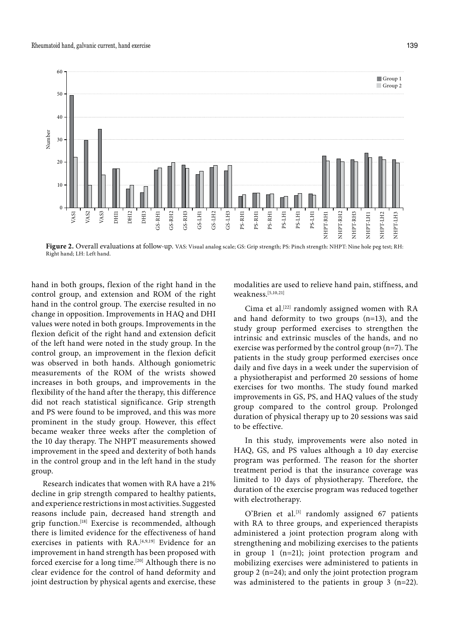

**Figure 2.** Overall evaluations at follow-up. VAS: Visual analog scale; GS: Grip strength; PS: Pinch strength: NHPT: Nine hole peg test; RH: Right hand; LH: Left hand.

hand in both groups, flexion of the right hand in the control group, and extension and ROM of the right hand in the control group. The exercise resulted in no change in opposition. Improvements in HAQ and DHI values were noted in both groups. Improvements in the flexion deficit of the right hand and extension deficit of the left hand were noted in the study group. In the control group, an improvement in the flexion deficit was observed in both hands. Although goniometric measurements of the ROM of the wrists showed increases in both groups, and improvements in the flexibility of the hand after the therapy, this difference did not reach statistical significance. Grip strength and PS were found to be improved, and this was more prominent in the study group. However, this effect became weaker three weeks after the completion of the 10 day therapy. The NHPT measurements showed improvement in the speed and dexterity of both hands in the control group and in the left hand in the study group.

Research indicates that women with RA have a 21% decline in grip strength compared to healthy patients, and experience restrictions in most activities. Suggested reasons include pain, decreased hand strength and grip function.[18] Exercise is recommended, although there is limited evidence for the effectiveness of hand exercises in patients with  $RA.^{[4,9,19]}$  Evidence for an improvement in hand strength has been proposed with forced exercise for a long time.[20] Although there is no clear evidence for the control of hand deformity and joint destruction by physical agents and exercise, these

modalities are used to relieve hand pain, stiffness, and weakness.[5,10,21]

Cima et al.[22] randomly assigned women with RA and hand deformity to two groups (n=13), and the study group performed exercises to strengthen the intrinsic and extrinsic muscles of the hands, and no exercise was performed by the control group (n=7). The patients in the study group performed exercises once daily and five days in a week under the supervision of a physiotherapist and performed 20 sessions of home exercises for two months. The study found marked improvements in GS, PS, and HAQ values of the study group compared to the control group. Prolonged duration of physical therapy up to 20 sessions was said to be effective.

In this study, improvements were also noted in HAQ, GS, and PS values although a 10 day exercise program was performed. The reason for the shorter treatment period is that the insurance coverage was limited to 10 days of physiotherapy. Therefore, the duration of the exercise program was reduced together with electrotherapy.

O'Brien et al.<sup>[3]</sup> randomly assigned 67 patients with RA to three groups, and experienced therapists administered a joint protection program along with strengthening and mobilizing exercises to the patients in group 1 (n=21); joint protection program and mobilizing exercises were administered to patients in group 2 (n=24); and only the joint protection program was administered to the patients in group 3 (n=22).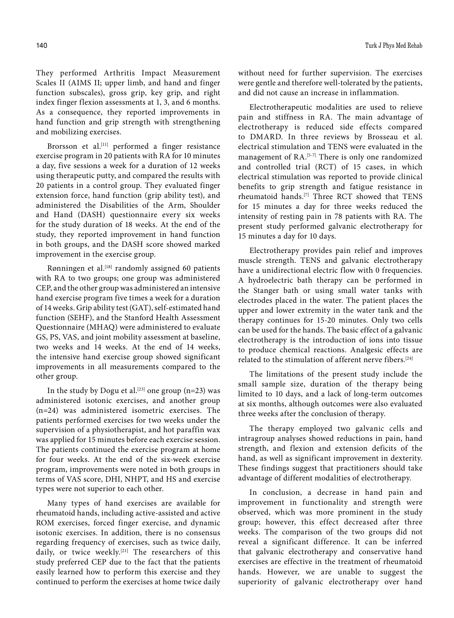They performed Arthritis Impact Measurement Scales II (AIMS II; upper limb, and hand and finger function subscales), gross grip, key grip, and right index finger flexion assessments at 1, 3, and 6 months. As a consequence, they reported improvements in hand function and grip strength with strengthening and mobilizing exercises.

Brorsson et al. $^{[11]}$  performed a finger resistance exercise program in 20 patients with RA for 10 minutes a day, five sessions a week for a duration of 12 weeks using therapeutic putty, and compared the results with 20 patients in a control group. They evaluated finger extension force, hand function (grip ability test), and administered the Disabilities of the Arm, Shoulder and Hand (DASH) questionnaire every six weeks for the study duration of 18 weeks. At the end of the study, they reported improvement in hand function in both groups, and the DASH score showed marked improvement in the exercise group.

Rønningen et al.<sup>[18]</sup> randomly assigned 60 patients with RA to two groups; one group was administered CEP, and the other group was administered an intensive hand exercise program five times a week for a duration of 14 weeks. Grip ability test (GAT), self-estimated hand function (SEHF), and the Stanford Health Assessment Questionnaire (MHAQ) were administered to evaluate GS, PS, VAS, and joint mobility assessment at baseline, two weeks and 14 weeks. At the end of 14 weeks, the intensive hand exercise group showed significant improvements in all measurements compared to the other group.

In the study by Dogu et al.<sup>[23]</sup> one group (n=23) was administered isotonic exercises, and another group (n=24) was administered isometric exercises. The patients performed exercises for two weeks under the supervision of a physiotherapist, and hot paraffin wax was applied for 15 minutes before each exercise session. The patients continued the exercise program at home for four weeks. At the end of the six-week exercise program, improvements were noted in both groups in terms of VAS score, DHI, NHPT, and HS and exercise types were not superior to each other.

Many types of hand exercises are available for rheumatoid hands, including active-assisted and active ROM exercises, forced finger exercise, and dynamic isotonic exercises. In addition, there is no consensus regarding frequency of exercises, such as twice daily, daily, or twice weekly.<sup>[21]</sup> The researchers of this study preferred CEP due to the fact that the patients easily learned how to perform this exercise and they continued to perform the exercises at home twice daily without need for further supervision. The exercises were gentle and therefore well-tolerated by the patients, and did not cause an increase in inflammation.

Electrotherapeutic modalities are used to relieve pain and stiffness in RA. The main advantage of electrotherapy is reduced side effects compared to DMARD. In three reviews by Brosseau et al. electrical stimulation and TENS were evaluated in the management of RA.<sup>[5-7]</sup> There is only one randomized and controlled trial (RCT) of 15 cases, in which electrical stimulation was reported to provide clinical benefits to grip strength and fatigue resistance in rheumatoid hands.[7] Three RCT showed that TENS for 15 minutes a day for three weeks reduced the intensity of resting pain in 78 patients with RA. The present study performed galvanic electrotherapy for 15 minutes a day for 10 days.

Electrotherapy provides pain relief and improves muscle strength. TENS and galvanic electrotherapy have a unidirectional electric flow with 0 frequencies. A hydroelectric bath therapy can be performed in the Stanger bath or using small water tanks with electrodes placed in the water. The patient places the upper and lower extremity in the water tank and the therapy continues for 15-20 minutes. Only two cells can be used for the hands. The basic effect of a galvanic electrotherapy is the introduction of ions into tissue to produce chemical reactions. Analgesic effects are related to the stimulation of afferent nerve fibers.[24]

The limitations of the present study include the small sample size, duration of the therapy being limited to 10 days, and a lack of long-term outcomes at six months, although outcomes were also evaluated three weeks after the conclusion of therapy.

The therapy employed two galvanic cells and intragroup analyses showed reductions in pain, hand strength, and flexion and extension deficits of the hand, as well as significant improvement in dexterity. These findings suggest that practitioners should take advantage of different modalities of electrotherapy.

In conclusion, a decrease in hand pain and improvement in functionality and strength were observed, which was more prominent in the study group; however, this effect decreased after three weeks. The comparison of the two groups did not reveal a significant difference. It can be inferred that galvanic electrotherapy and conservative hand exercises are effective in the treatment of rheumatoid hands. However, we are unable to suggest the superiority of galvanic electrotherapy over hand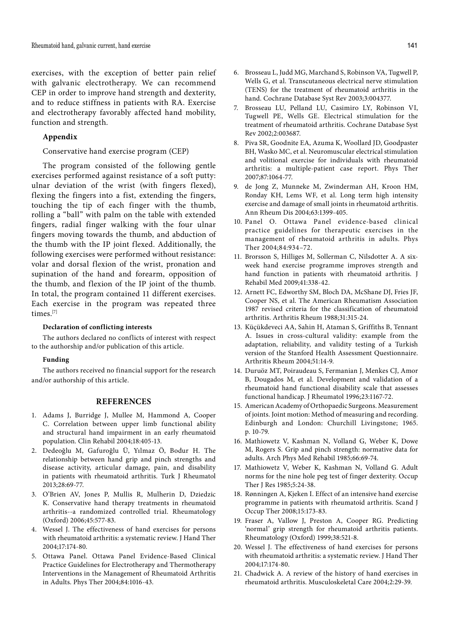exercises, with the exception of better pain relief with galvanic electrotherapy. We can recommend CEP in order to improve hand strength and dexterity, and to reduce stiffness in patients with RA. Exercise and electrotherapy favorably affected hand mobility, function and strength.

#### **Appendix**

Conservative hand exercise program (CEP)

The program consisted of the following gentle exercises performed against resistance of a soft putty: ulnar deviation of the wrist (with fingers flexed), flexing the fingers into a fist, extending the fingers, touching the tip of each finger with the thumb, rolling a "ball" with palm on the table with extended fingers, radial finger walking with the four ulnar fingers moving towards the thumb, and abduction of the thumb with the IP joint flexed. Additionally, the following exercises were performed without resistance: volar and dorsal flexion of the wrist, pronation and supination of the hand and forearm, opposition of the thumb, and flexion of the IP joint of the thumb. In total, the program contained 11 different exercises. Each exercise in the program was repeated three times.[7]

#### **Declaration of conflicting interests**

The authors declared no conflicts of interest with respect to the authorship and/or publication of this article.

#### **Funding**

The authors received no financial support for the research and/or authorship of this article.

# **REFERENCES**

- 1. Adams J, Burridge J, Mullee M, Hammond A, Cooper C. Correlation between upper limb functional ability and structural hand impairment in an early rheumatoid population. Clin Rehabil 2004;18:405-13.
- 2. Dedeoğlu M, Gafuroğlu Ü, Yılmaz Ö, Bodur H. The relationship between hand grip and pinch strengths and disease activity, articular damage, pain, and disability in patients with rheumatoid arthritis. Turk J Rheumatol 2013;28:69-77.
- 3. O'Brien AV, Jones P, Mullis R, Mulherin D, Dziedzic K. Conservative hand therapy treatments in rheumatoid arthritis--a randomized controlled trial. Rheumatology (Oxford) 2006;45:577-83.
- 4. Wessel J. The effectiveness of hand exercises for persons with rheumatoid arthritis: a systematic review. J Hand Ther 2004;17:174-80.
- 5. Ottawa Panel. Ottawa Panel Evidence-Based Clinical Practice Guidelines for Electrotherapy and Thermotherapy Interventions in the Management of Rheumatoid Arthritis in Adults. Phys Ther 2004;84:1016-43.
- 6. Brosseau L, Judd MG, Marchand S, Robinson VA, Tugwell P, Wells G, et al. Transcutaneous electrical nerve stimulation (TENS) for the treatment of rheumatoid arthritis in the hand. Cochrane Database Syst Rev 2003;3:004377.
- 7. Brosseau LU, Pelland LU, Casimiro LY, Robinson VI, Tugwell PE, Wells GE. Electrical stimulation for the treatment of rheumatoid arthritis. Cochrane Database Syst Rev 2002;2:003687.
- 8. Piva SR, Goodnite EA, Azuma K, Woollard JD, Goodpaster BH, Wasko MC, et al. Neuromuscular electrical stimulation and volitional exercise for individuals with rheumatoid arthritis: a multiple-patient case report. Phys Ther 2007;87:1064-77.
- 9. de Jong Z, Munneke M, Zwinderman AH, Kroon HM, Ronday KH, Lems WF, et al. Long term high intensity exercise and damage of small joints in rheumatoid arthritis. Ann Rheum Dis 2004;63:1399-405.
- 10. Panel O. Ottawa Panel evidence-based clinical practice guidelines for therapeutic exercises in the management of rheumatoid arthritis in adults. Phys Ther 2004;84:934–72.
- 11. Brorsson S, Hilliges M, Sollerman C, Nilsdotter A. A sixweek hand exercise programme improves strength and hand function in patients with rheumatoid arthritis. J Rehabil Med 2009;41:338-42.
- 12. Arnett FC, Edworthy SM, Bloch DA, McShane DJ, Fries JF, Cooper NS, et al. The American Rheumatism Association 1987 revised criteria for the classification of rheumatoid arthritis. Arthritis Rheum 1988;31:315-24.
- 13. Küçükdeveci AA, Sahin H, Ataman S, Griffiths B, Tennant A. Issues in cross-cultural validity: example from the adaptation, reliability, and validity testing of a Turkish version of the Stanford Health Assessment Questionnaire. Arthritis Rheum 2004;51:14-9.
- 14. Duruöz MT, Poiraudeau S, Fermanian J, Menkes CJ, Amor B, Dougados M, et al. Development and validation of a rheumatoid hand functional disability scale that assesses functional handicap. J Rheumatol 1996;23:1167-72.
- 15. American Academy of Orthopaedic Surgeons. Measurement of joints. Joint motion: Method of measuring and recording. Edinburgh and London: Churchill Livingstone; 1965. p. 10-79.
- 16. Mathiowetz V, Kashman N, Volland G, Weber K, Dowe M, Rogers S. Grip and pinch strength: normative data for adults. Arch Phys Med Rehabil 1985;66:69-74.
- 17. Mathiowetz V, Weber K, Kashman N, Volland G. Adult norms for the nine hole peg test of finger dexterity. Occup Ther J Res 1985;5:24-38.
- 18. Rønningen A, Kjeken I. Effect of an intensive hand exercise programme in patients with rheumatoid arthritis. Scand J Occup Ther 2008;15:173-83.
- 19. Fraser A, Vallow J, Preston A, Cooper RG. Predicting 'normal' grip strength for rheumatoid arthritis patients. Rheumatology (Oxford) 1999;38:521-8.
- 20. Wessel J. The effectiveness of hand exercises for persons with rheumatoid arthritis: a systematic review. J Hand Ther 2004;17:174-80.
- 21. Chadwick A. A review of the history of hand exercises in rheumatoid arthritis. Musculoskeletal Care 2004;2:29-39.